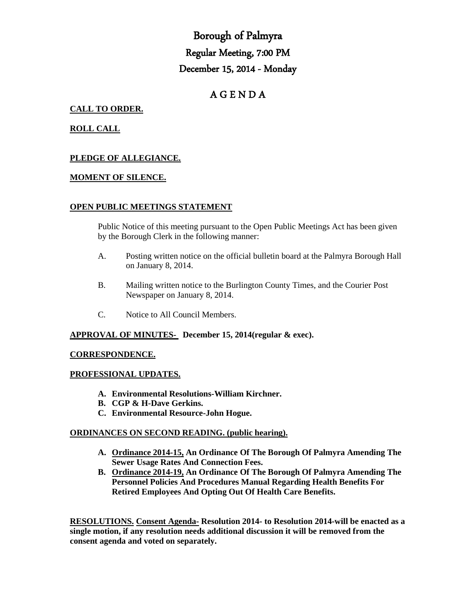# Borough of Palmyra Regular Meeting, 7:00 PM December 15, 2014 - Monday

# A G E N D A

# **CALL TO ORDER.**

# **ROLL CALL**

# **PLEDGE OF ALLEGIANCE.**

#### **MOMENT OF SILENCE.**

#### **OPEN PUBLIC MEETINGS STATEMENT**

Public Notice of this meeting pursuant to the Open Public Meetings Act has been given by the Borough Clerk in the following manner:

- A. Posting written notice on the official bulletin board at the Palmyra Borough Hall on January 8, 2014.
- B. Mailing written notice to the Burlington County Times, and the Courier Post Newspaper on January 8, 2014.
- C. Notice to All Council Members.

#### **APPROVAL OF MINUTES- December 15, 2014(regular & exec).**

#### **CORRESPONDENCE.**

#### **PROFESSIONAL UPDATES.**

- **A. Environmental Resolutions-William Kirchner.**
- **B. CGP & H-Dave Gerkins.**
- **C. Environmental Resource-John Hogue.**

#### **ORDINANCES ON SECOND READING. (public hearing).**

- **A. Ordinance 2014-15, An Ordinance Of The Borough Of Palmyra Amending The Sewer Usage Rates And Connection Fees.**
- **B. Ordinance 2014-19, An Ordinance Of The Borough Of Palmyra Amending The Personnel Policies And Procedures Manual Regarding Health Benefits For Retired Employees And Opting Out Of Health Care Benefits.**

**RESOLUTIONS. Consent Agenda- Resolution 2014- to Resolution 2014-will be enacted as a single motion, if any resolution needs additional discussion it will be removed from the consent agenda and voted on separately.**